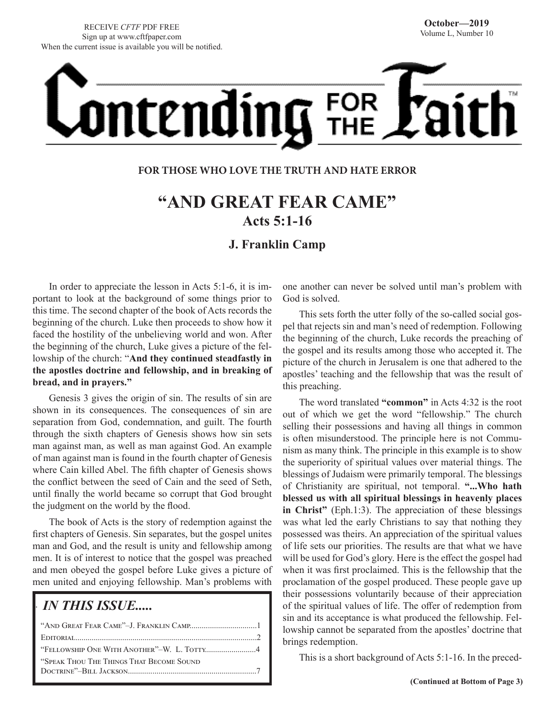# Ontending FOR

## **FOR THOSE WHO LOVE THE TRUTH AND HATE ERROR**

# **"AND GREAT FEAR CAME" Acts 5:1-16**

# **J. Franklin Camp**

In order to appreciate the lesson in Acts 5:1-6, it is important to look at the background of some things prior to this time. The second chapter of the book of Acts records the beginning of the church. Luke then proceeds to show how it faced the hostility of the unbelieving world and won. After the beginning of the church, Luke gives a picture of the fellowship of the church: "**And they continued steadfastly in the apostles doctrine and fellowship, and in breaking of bread, and in prayers."**

Genesis 3 gives the origin of sin. The results of sin are shown in its consequences. The consequences of sin are separation from God, condemnation, and guilt. The fourth through the sixth chapters of Genesis shows how sin sets man against man, as well as man against God. An example of man against man is found in the fourth chapter of Genesis where Cain killed Abel. The fifth chapter of Genesis shows the conflict between the seed of Cain and the seed of Seth, until finally the world became so corrupt that God brought the judgment on the world by the flood.

The book of Acts is the story of redemption against the first chapters of Genesis. Sin separates, but the gospel unites man and God, and the result is unity and fellowship among men. It is of interest to notice that the gospel was preached and men obeyed the gospel before Luke gives a picture of men united and enjoying fellowship. Man's problems with

# *IN THIS ISSUE.....*

.

| "FELLOWSHIP ONE WITH ANOTHER"-W. L. TOTTY4 |  |
|--------------------------------------------|--|
| "SPEAK THOU THE THINGS THAT BECOME SOUND   |  |
|                                            |  |
|                                            |  |

one another can never be solved until man's problem with God is solved.

This sets forth the utter folly of the so-called social gospel that rejects sin and man's need of redemption. Following the beginning of the church, Luke records the preaching of the gospel and its results among those who accepted it. The picture of the church in Jerusalem is one that adhered to the apostles' teaching and the fellowship that was the result of this preaching.

The word translated **"common"** in Acts 4:32 is the root out of which we get the word "fellowship." The church selling their possessions and having all things in common is often misunderstood. The principle here is not Communism as many think. The principle in this example is to show the superiority of spiritual values over material things. The blessings of Judaism were primarily temporal. The blessings of Christianity are spiritual, not temporal. **"...Who hath blessed us with all spiritual blessings in heavenly places in Christ"** (Eph.1:3). The appreciation of these blessings was what led the early Christians to say that nothing they possessed was theirs. An appreciation of the spiritual values of life sets our priorities. The results are that what we have will be used for God's glory. Here is the effect the gospel had when it was first proclaimed. This is the fellowship that the proclamation of the gospel produced. These people gave up their possessions voluntarily because of their appreciation of the spiritual values of life. The offer of redemption from sin and its acceptance is what produced the fellowship. Fellowship cannot be separated from the apostles' doctrine that brings redemption.

This is a short background of Acts 5:1-16. In the preced-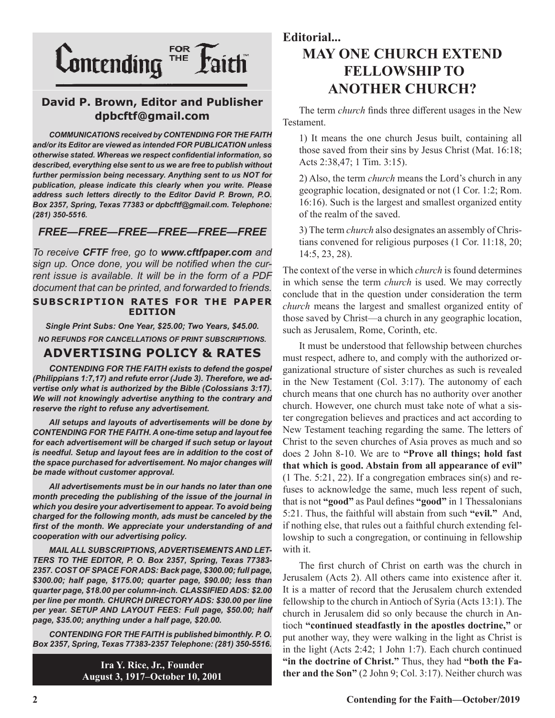

## **David P. Brown, Editor and Publisher dpbcftf@gmail.com**

*COMMUNICATIONS received by CONTENDING FOR THE FAITH and/or its Editor are viewed as intended FOR PUBLICATION unless otherwise stated. Whereas we respect confidential information, so described, everything else sent to us we are free to publish without further permission being necessary. Anything sent to us NOT for publication, please indicate this clearly when you write. Please address such letters directly to the Editor David P. Brown, P.O. Box 2357, Spring, Texas 77383 or dpbcftf@gmail.com. Telephone: (281) 350-5516.*

#### *FREE—FREE—FREE—FREE—FREE—FREE*

*To receive CFTF free, go to www.cftfpaper.com and sign up. Once done, you will be notified when the current issue is available. It will be in the form of a PDF document that can be printed, and forwarded to friends.*

#### **SUBSCRIPTION RATES FOR THE PAPER EDITION**

*Single Print Subs: One Year, \$25.00; Two Years, \$45.00. NO REFUNDS FOR CANCELLATIONS OF PRINT SUBSCRIPTIONS.*

## **ADVERTISING POLICY & RATES**

*CONTENDING FOR THE FAITH exists to defend the gospel (Philippians 1:7,17) and refute error (Jude 3). Therefore, we advertise only what is authorized by the Bible (Colossians 3:17). We will not knowingly advertise anything to the contrary and reserve the right to refuse any advertisement.*

*All setups and layouts of advertisements will be done by CONTENDING FOR THE FAITH. A one-time setup and layout fee for each advertisement will be charged if such setup or layout*  is needful. Setup and layout fees are in addition to the cost of *the space purchased for advertisement. No major changes will be made without customer approval.*

*All advertisements must be in our hands no later than one month preceding the publishing of the issue of the journal in which you desire your advertisement to appear. To avoid being charged for the following month, ads must be canceled by the first of the month. We appreciate your understanding of and cooperation with our advertising policy.*

*MAIL ALL SUBSCRIPTIONS, ADVERTISEMENTS AND LET-TERS TO THE EDITOR, P. O. Box 2357, Spring, Texas 77383- 2357. COST OF SPACE FOR ADS: Back page, \$300.00; full page, \$300.00; half page, \$175.00; quarter page, \$90.00; less than quarter page, \$18.00 per column-inch. CLASSIFIED ADS: \$2.00 per line per month. CHURCH DIRECTORY ADS: \$30.00 per line per year. SETUP AND LAYOUT FEES: Full page, \$50.00; half page, \$35.00; anything under a half page, \$20.00.*

*CONTENDING FOR THE FAITH is published bimonthly. P. O. Box 2357, Spring, Texas 77383-2357 Telephone: (281) 350-5516.*

> **Ira Y. Rice, Jr., Founder August 3, 1917–October 10, 2001**

# **Editorial... MAY ONE CHURCH EXTEND FELLOWSHIP TO ANOTHER CHURCH?**

The term *church* finds three different usages in the New Testament.

1) It means the one church Jesus built, containing all those saved from their sins by Jesus Christ (Mat. 16:18; Acts 2:38,47; 1 Tim. 3:15).

2) Also, the term *church* means the Lord's church in any geographic location, designated or not (1 Cor. 1:2; Rom. 16:16). Such is the largest and smallest organized entity of the realm of the saved.

3) The term *church* also designates an assembly of Christians convened for religious purposes (1 Cor. 11:18, 20; 14:5, 23, 28).

The context of the verse in which *church* is found determines in which sense the term *church* is used. We may correctly conclude that in the question under consideration the term *church* means the largest and smallest organized entity of those saved by Christ—a church in any geographic location, such as Jerusalem, Rome, Corinth, etc.

It must be understood that fellowship between churches must respect, adhere to, and comply with the authorized organizational structure of sister churches as such is revealed in the New Testament (Col. 3:17). The autonomy of each church means that one church has no authority over another church. However, one church must take note of what a sister congregation believes and practices and act according to New Testament teaching regarding the same. The letters of Christ to the seven churches of Asia proves as much and so does 2 John 8-10. We are to **"Prove all things; hold fast that which is good. Abstain from all appearance of evil"** (1 The. 5:21, 22). If a congregation embraces sin(s) and refuses to acknowledge the same, much less repent of such, that is not **"good"** as Paul defines **"good"** in 1 Thessalonians 5:21. Thus, the faithful will abstain from such **"evil."** And, if nothing else, that rules out a faithful church extending fellowship to such a congregation, or continuing in fellowship with it.

The first church of Christ on earth was the church in Jerusalem (Acts 2). All others came into existence after it. It is a matter of record that the Jerusalem church extended fellowship to the church in Antioch of Syria (Acts 13:1). The church in Jerusalem did so only because the church in Antioch **"continued steadfastly in the apostles doctrine,"** or put another way, they were walking in the light as Christ is in the light (Acts 2:42; 1 John 1:7). Each church continued **"in the doctrine of Christ."** Thus, they had **"both the Father and the Son"** (2 John 9; Col. 3:17). Neither church was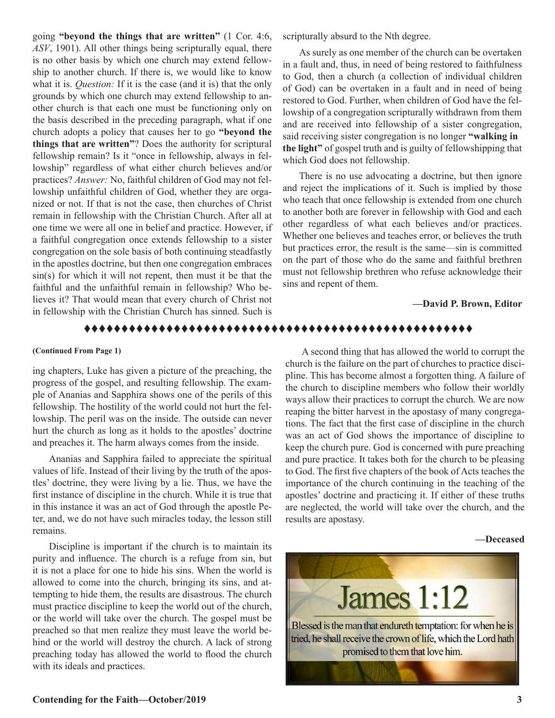going **"beyond the things that are written"** (1 Cor. 4:6, *ASV*, 1901). All other things being scripturally equal, there is no other basis by which one church may extend fellowship to another church. If there is, we would like to know what it is. *Question:* If it is the case (and it is) that the only grounds by which one church may extend fellowship to another church is that each one must be functioning only on the basis described in the preceding paragraph, what if one church adopts a policy that causes her to go **"beyond the things that are written"**? Does the authority for scriptural fellowship remain? Is it "once in fellowship, always in fellowship" regardless of what either church believes and/or practices? *Answer:* No, faithful children of God may not fellowship unfaithful children of God, whether they are organized or not. If that is not the case, then churches of Christ remain in fellowship with the Christian Church. After all at one time we were all one in belief and practice. However, if a faithful congregation once extends fellowship to a sister congregation on the sole basis of both continuing steadfastly in the apostles doctrine, but then one congregation embraces  $sin(s)$  for which it will not repent, then must it be that the faithful and the unfaithful remain in fellowship? Who believes it? That would mean that every church of Christ not in fellowship with the Christian Church has sinned. Such is

scripturally absurd to the Nth degree.

As surely as one member of the church can be overtaken in a fault and, thus, in need of being restored to faithfulness to God, then a church (a collection of individual children of God) can be overtaken in a fault and in need of being restored to God. Further, when children of God have the fellowship of a congregation scripturally withdrawn from them and are received into fellowship of a sister congregation, said receiving sister congregation is no longer **"walking in the light"** of gospel truth and is guilty of fellowshipping that which God does not fellowship.

There is no use advocating a doctrine, but then ignore and reject the implications of it. Such is implied by those who teach that once fellowship is extended from one church to another both are forever in fellowship with God and each other regardless of what each believes and/or practices. Whether one believes and teaches error, or believes the truth but practices error, the result is the same—sin is committed on the part of those who do the same and faithful brethren must not fellowship brethren who refuse acknowledge their sins and repent of them.

#### **—David P. Brown, Editor**

#### tttttttttttttttttttttttttttttttttttttttttttttttttttt

#### **(Continued From Page 1)**

ing chapters, Luke has given a picture of the preaching, the progress of the gospel, and resulting fellowship. The example of Ananias and Sapphira shows one of the perils of this fellowship. The hostility of the world could not hurt the fellowship. The peril was on the inside. The outside can never hurt the church as long as it holds to the apostles' doctrine and preaches it. The harm always comes from the inside.

Ananias and Sapphira failed to appreciate the spiritual values of life. Instead of their living by the truth of the apostles' doctrine, they were living by a lie. Thus, we have the first instance of discipline in the church. While it is true that in this instance it was an act of God through the apostle Peter, and, we do not have such miracles today, the lesson still remains.

Discipline is important if the church is to maintain its purity and influence. The church is a refuge from sin, but it is not a place for one to hide his sins. When the world is allowed to come into the church, bringing its sins, and attempting to hide them, the results are disastrous. The church must practice discipline to keep the world out of the church, or the world will take over the church. The gospel must be preached so that men realize they must leave the world behind or the world will destroy the church. A lack of strong preaching today has allowed the world to flood the church with its ideals and practices.

A second thing that has allowed the world to corrupt the church is the failure on the part of churches to practice discipline. This has become almost a forgotten thing. A failure of the church to discipline members who follow their worldly ways allow their practices to corrupt the church. We are now reaping the bitter harvest in the apostasy of many congregations. The fact that the first case of discipline in the church was an act of God shows the importance of discipline to keep the church pure. God is concerned with pure preaching and pure practice. It takes both for the church to be pleasing to God. The first five chapters of the book of Acts teaches the importance of the church continuing in the teaching of the apostles' doctrine and practicing it. If either of these truths are neglected, the world will take over the church, and the results are apostasy.

#### **—Deceased**

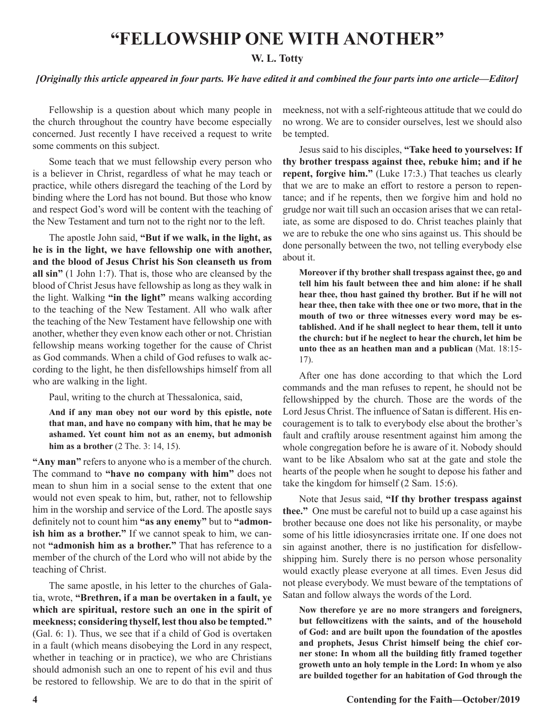# **"FELLOWSHIP ONE WITH ANOTHER"**

#### **W. L. Totty**

#### *[Originally this article appeared in four parts. We have edited it and combined the four parts into one article—Editor]*

Fellowship is a question about which many people in the church throughout the country have become especially concerned. Just recently I have received a request to write some comments on this subject.

Some teach that we must fellowship every person who is a believer in Christ, regardless of what he may teach or practice, while others disregard the teaching of the Lord by binding where the Lord has not bound. But those who know and respect God's word will be content with the teaching of the New Testament and turn not to the right nor to the left.

The apostle John said, **"But if we walk, in the light, as he is in the light, we have fellowship one with another, and the blood of Jesus Christ his Son cleanseth us from all sin"** (1 John 1:7). That is, those who are cleansed by the blood of Christ Jesus have fellowship as long as they walk in the light. Walking **"in the light"** means walking according to the teaching of the New Testament. All who walk after the teaching of the New Testament have fellowship one with another, whether they even know each other or not. Christian fellowship means working together for the cause of Christ as God commands. When a child of God refuses to walk according to the light, he then disfellowships himself from all who are walking in the light.

Paul, writing to the church at Thessalonica, said,

**And if any man obey not our word by this epistle, note that man, and have no company with him, that he may be ashamed. Yet count him not as an enemy, but admonish him as a brother** (2 The. 3: 14, 15).

**"Any man"** refers to anyone who is a member of the church. The command to **"have no company with him"** does not mean to shun him in a social sense to the extent that one would not even speak to him, but, rather, not to fellowship him in the worship and service of the Lord. The apostle says definitely not to count him **"as any enemy"** but to **"admonish him as a brother."** If we cannot speak to him, we cannot **"admonish him as a brother."** That has reference to a member of the church of the Lord who will not abide by the teaching of Christ.

The same apostle, in his letter to the churches of Galatia, wrote, **"Brethren, if a man be overtaken in a fault, ye which are spiritual, restore such an one in the spirit of meekness; considering thyself, lest thou also be tempted."**  (Gal. 6: 1). Thus, we see that if a child of God is overtaken in a fault (which means disobeying the Lord in any respect, whether in teaching or in practice), we who are Christians should admonish such an one to repent of his evil and thus be restored to fellowship. We are to do that in the spirit of meekness, not with a self-righteous attitude that we could do no wrong. We are to consider ourselves, lest we should also be tempted.

Jesus said to his disciples, **"Take heed to yourselves: If thy brother trespass against thee, rebuke him; and if he repent, forgive him."** (Luke 17:3.) That teaches us clearly that we are to make an effort to restore a person to repentance; and if he repents, then we forgive him and hold no grudge nor wait till such an occasion arises that we can retaliate, as some are disposed to do. Christ teaches plainly that we are to rebuke the one who sins against us. This should be done personally between the two, not telling everybody else about it.

**Moreover if thy brother shall trespass against thee, go and tell him his fault between thee and him alone: if he shall hear thee, thou hast gained thy brother. But if he will not hear thee, then take with thee one or two more, that in the mouth of two or three witnesses every word may be established. And if he shall neglect to hear them, tell it unto the church: but if he neglect to hear the church, let him be unto thee as an heathen man and a publican** (Mat. 18:15- 17).

After one has done according to that which the Lord commands and the man refuses to repent, he should not be fellowshipped by the church. Those are the words of the Lord Jesus Christ. The influence of Satan is different. His encouragement is to talk to everybody else about the brother's fault and craftily arouse resentment against him among the whole congregation before he is aware of it. Nobody should want to be like Absalom who sat at the gate and stole the hearts of the people when he sought to depose his father and take the kingdom for himself (2 Sam. 15:6).

Note that Jesus said, **"If thy brother trespass against thee."** One must be careful not to build up a case against his brother because one does not like his personality, or maybe some of his little idiosyncrasies irritate one. If one does not sin against another, there is no justification for disfellowshipping him. Surely there is no person whose personality would exactly please everyone at all times. Even Jesus did not please everybody. We must beware of the temptations of Satan and follow always the words of the Lord.

**Now therefore ye are no more strangers and foreigners, but fellowcitizens with the saints, and of the household of God: and are built upon the foundation of the apostles and prophets, Jesus Christ himself being the chief corner stone: In whom all the building fitly framed together groweth unto an holy temple in the Lord: In whom ye also are builded together for an habitation of God through the**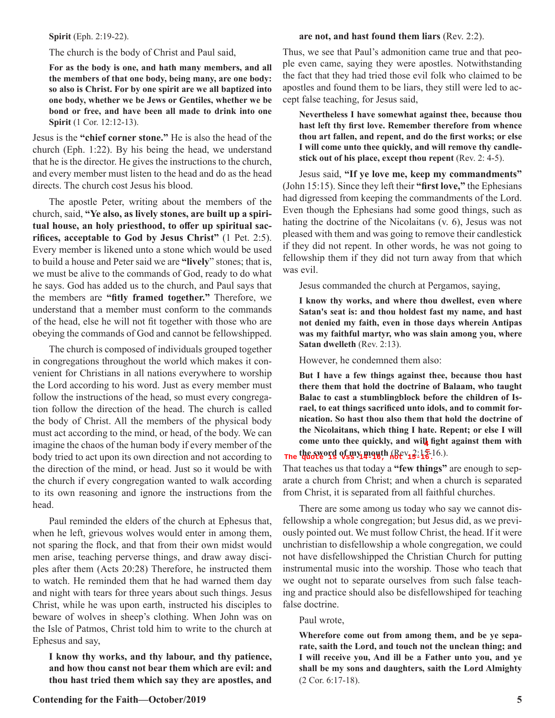#### **Spirit** (Eph. 2:19-22).

#### The church is the body of Christ and Paul said,

**For as the body is one, and hath many members, and all the members of that one body, being many, are one body: so also is Christ. For by one spirit are we all baptized into one body, whether we be Jews or Gentiles, whether we be bond or free, and have been all made to drink into one Spirit** (1 Cor. 12:12-13).

Jesus is the **"chief corner stone."** He is also the head of the church (Eph. 1:22). By his being the head, we understand that he is the director. He gives the instructions to the church, and every member must listen to the head and do as the head directs. The church cost Jesus his blood.

The apostle Peter, writing about the members of the church, said, **"Ye also, as lively stones, are built up a spiritual house, an holy priesthood, to offer up spiritual sacrifices, acceptable to God by Jesus Christ"** (1 Pet. 2:5). Every member is likened unto a stone which would be used to build a house and Peter said we are **"lively**" stones; that is, we must be alive to the commands of God, ready to do what he says. God has added us to the church, and Paul says that the members are **"fitly framed together."** Therefore, we understand that a member must conform to the commands of the head, else he will not fit together with those who are obeying the commands of God and cannot be fellowshipped.

The church is composed of individuals grouped together in congregations throughout the world which makes it convenient for Christians in all nations everywhere to worship the Lord according to his word. Just as every member must follow the instructions of the head, so must every congregation follow the direction of the head. The church is called the body of Christ. All the members of the physical body must act according to the mind, or head, of the body. We can imagine the chaos of the human body if every member of the body tried to act upon its own direction and not according to the direction of the mind, or head. Just so it would be with the church if every congregation wanted to walk according to its own reasoning and ignore the instructions from the head.

Paul reminded the elders of the church at Ephesus that, when he left, grievous wolves would enter in among them, not sparing the flock, and that from their own midst would men arise, teaching perverse things, and draw away disciples after them (Acts 20:28) Therefore, he instructed them to watch. He reminded them that he had warned them day and night with tears for three years about such things. Jesus Christ, while he was upon earth, instructed his disciples to beware of wolves in sheep's clothing. When John was on the Isle of Patmos, Christ told him to write to the church at Ephesus and say,

**I know thy works, and thy labour, and thy patience, and how thou canst not bear them which are evil: and thou hast tried them which say they are apostles, and** 

#### **are not, and hast found them liars** (Rev. 2:2).

Thus, we see that Paul's admonition came true and that people even came, saying they were apostles. Notwithstanding the fact that they had tried those evil folk who claimed to be apostles and found them to be liars, they still were led to accept false teaching, for Jesus said,

**Nevertheless I have somewhat against thee, because thou hast left thy first love. Remember therefore from whence thou art fallen, and repent, and do the first works; or else I will come unto thee quickly, and will remove thy candlestick out of his place, except thou repent** (Rev. 2: 4-5).

Jesus said, **"If ye love me, keep my commandments"**  (John 15:15). Since they left their **"first love,"** the Ephesians had digressed from keeping the commandments of the Lord. Even though the Ephesians had some good things, such as hating the doctrine of the Nicolaitans (v. 6), Jesus was not pleased with them and was going to remove their candlestick if they did not repent. In other words, he was not going to fellowship them if they did not turn away from that which was evil.

Jesus commanded the church at Pergamos, saying,

**I know thy works, and where thou dwellest, even where Satan's seat is: and thou holdest fast my name, and hast not denied my faith, even in those days wherein Antipas was my faithful martyr, who was slain among you, where Satan dwelleth** (Rev. 2:13).

However, he condemned them also:

**But I have a few things against thee, because thou hast there them that hold the doctrine of Balaam, who taught Balac to cast a stumblingblock before the children of Israel, to eat things sacrificed unto idols, and to commit fornication. So hast thou also them that hold the doctrine of the Nicolaitans, which thing I hate. Repent; or else I will**  come unto thee quickly, and will fight against them with **the sword of my mouth** (Rev. 2:15-16.). **= The quote is vss 14-16, not 15-16.**

That teaches us that today a **"few things"** are enough to sep-

arate a church from Christ; and when a church is separated from Christ, it is separated from all faithful churches.

There are some among us today who say we cannot disfellowship a whole congregation; but Jesus did, as we previously pointed out. We must follow Christ, the head. If it were unchristian to disfellowship a whole congregation, we could not have disfellowshipped the Christian Church for putting instrumental music into the worship. Those who teach that we ought not to separate ourselves from such false teaching and practice should also be disfellowshiped for teaching false doctrine.

Paul wrote,

**Wherefore come out from among them, and be ye separate, saith the Lord, and touch not the unclean thing; and I will receive you, And ill be a Father unto you, and ye shall be my sons and daughters, saith the Lord Almighty**  (2 Cor. 6:17-18).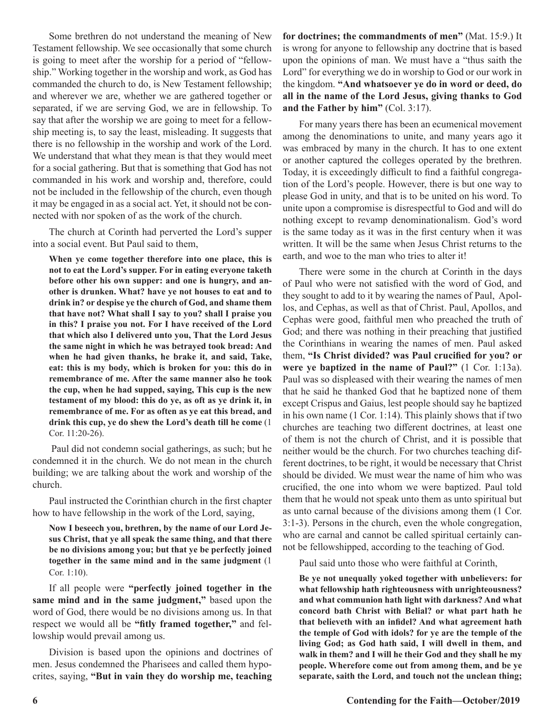Some brethren do not understand the meaning of New Testament fellowship. We see occasionally that some church is going to meet after the worship for a period of "fellowship." Working together in the worship and work, as God has commanded the church to do, is New Testament fellowship; and wherever we are, whether we are gathered together or separated, if we are serving God, we are in fellowship. To say that after the worship we are going to meet for a fellowship meeting is, to say the least, misleading. It suggests that there is no fellowship in the worship and work of the Lord. We understand that what they mean is that they would meet for a social gathering. But that is something that God has not commanded in his work and worship and, therefore, could not be included in the fellowship of the church, even though it may be engaged in as a social act. Yet, it should not be connected with nor spoken of as the work of the church.

The church at Corinth had perverted the Lord's supper into a social event. But Paul said to them,

**When ye come together therefore into one place, this is not to eat the Lord's supper. For in eating everyone taketh before other his own supper: and one is hungry, and another is drunken. What? have ye not houses to eat and to drink in? or despise ye the church of God, and shame them that have not? What shall I say to you? shall I praise you in this? I praise you not. For I have received of the Lord that which also I delivered unto you, That the Lord Jesus the same night in which he was betrayed took bread: And when he had given thanks, he brake it, and said, Take, eat: this is my body, which is broken for you: this do in remembrance of me. After the same manner also he took the cup, when he had supped, saying, This cup is the new testament of my blood: this do ye, as oft as ye drink it, in remembrance of me. For as often as ye eat this bread, and drink this cup, ye do shew the Lord's death till he come** (1 Cor. 11:20-26).

Paul did not condemn social gatherings, as such; but he condemned it in the church. We do not mean in the church building; we are talking about the work and worship of the church.

Paul instructed the Corinthian church in the first chapter how to have fellowship in the work of the Lord, saying,

**Now I beseech you, brethren, by the name of our Lord Jesus Christ, that ye all speak the same thing, and that there be no divisions among you; but that ye be perfectly joined together in the same mind and in the same judgment** (1 Cor. 1:10).

If all people were **"perfectly joined together in the same mind and in the same judgment,"** based upon the word of God, there would be no divisions among us. In that respect we would all be **"fitly framed together,"** and fellowship would prevail among us.

Division is based upon the opinions and doctrines of men. Jesus condemned the Pharisees and called them hypocrites, saying, **"But in vain they do worship me, teaching** 

**for doctrines; the commandments of men"** (Mat. 15:9.) It is wrong for anyone to fellowship any doctrine that is based upon the opinions of man. We must have a "thus saith the Lord" for everything we do in worship to God or our work in the kingdom. **"And whatsoever ye do in word or deed, do all in the name of the Lord Jesus, giving thanks to God and the Father by him"** (Col. 3:17).

For many years there has been an ecumenical movement among the denominations to unite, and many years ago it was embraced by many in the church. It has to one extent or another captured the colleges operated by the brethren. Today, it is exceedingly difficult to find a faithful congregation of the Lord's people. However, there is but one way to please God in unity, and that is to be united on his word. To unite upon a compromise is disrespectful to God and will do nothing except to revamp denominationalism. God's word is the same today as it was in the first century when it was written. It will be the same when Jesus Christ returns to the earth, and woe to the man who tries to alter it!

There were some in the church at Corinth in the days of Paul who were not satisfied with the word of God, and they sought to add to it by wearing the names of Paul, Apollos, and Cephas, as well as that of Christ. Paul, Apollos, and Cephas were good, faithful men who preached the truth of God; and there was nothing in their preaching that justified the Corinthians in wearing the names of men. Paul asked them, **"Is Christ divided? was Paul crucified for you? or were ye baptized in the name of Paul?"** (1 Cor. 1:13a). Paul was so displeased with their wearing the names of men that he said he thanked God that he baptized none of them except Crispus and Gaius, lest people should say he baptized in his own name (1 Cor. 1:14). This plainly shows that if two churches are teaching two different doctrines, at least one of them is not the church of Christ, and it is possible that neither would be the church. For two churches teaching different doctrines, to be right, it would be necessary that Christ should be divided. We must wear the name of him who was crucified, the one into whom we were baptized. Paul told them that he would not speak unto them as unto spiritual but as unto carnal because of the divisions among them (1 Cor. 3:1-3). Persons in the church, even the whole congregation, who are carnal and cannot be called spiritual certainly cannot be fellowshipped, according to the teaching of God.

Paul said unto those who were faithful at Corinth,

**Be ye not unequally yoked together with unbelievers: for what fellowship hath righteousness with unrighteousness? and what communion hath light with darkness? And what concord bath Christ with Belial? or what part hath he that believeth with an infidel? And what agreement hath the temple of God with idols? for ye are the temple of the living God; as God hath said, I will dwell in them, and walk in them? and I will he their God and they shall he my people. Wherefore come out from among them, and be ye separate, saith the Lord, and touch not the unclean thing;**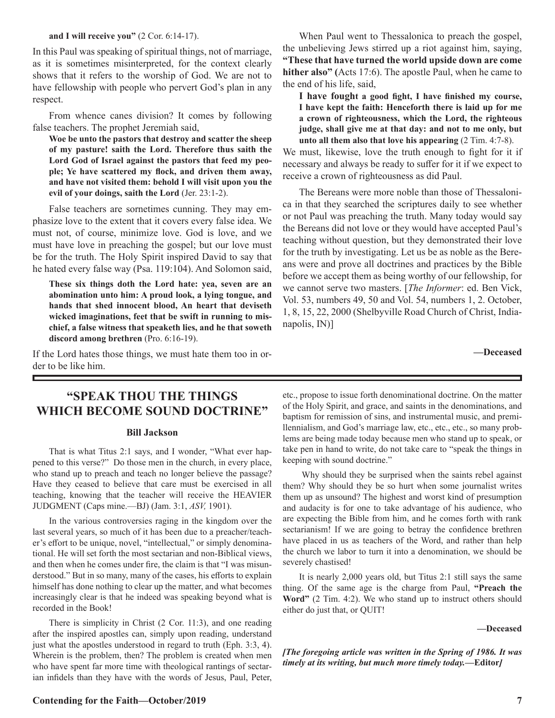#### **and I will receive you"** (2 Cor. 6:14-17).

In this Paul was speaking of spiritual things, not of marriage, as it is sometimes misinterpreted, for the context clearly shows that it refers to the worship of God. We are not to have fellowship with people who pervert God's plan in any respect.

From whence canes division? It comes by following false teachers. The prophet Jeremiah said,

**Woe be unto the pastors that destroy and scatter the sheep of my pasture! saith the Lord. Therefore thus saith the Lord God of Israel against the pastors that feed my people; Ye have scattered my flock, and driven them away, and have not visited them: behold I will visit upon you the evil of your doings, saith the Lord** (Jer. 23:1-2).

False teachers are sornetimes cunning. They may emphasize love to the extent that it covers every false idea. We must not, of course, minimize love. God is love, and we must have love in preaching the gospel; but our love must be for the truth. The Holy Spirit inspired David to say that he hated every false way (Psa. 119:104). And Solomon said,

**These six things doth the Lord hate: yea, seven are an abomination unto him: A proud look, a lying tongue, and hands that shed innocent blood, An heart that deviseth wicked imaginations, feet that be swift in running to mischief, a false witness that speaketh lies, and he that soweth discord among brethren** (Pro. 6:16-19).

If the Lord hates those things, we must hate them too in order to be like him.

When Paul went to Thessalonica to preach the gospel, the unbelieving Jews stirred up a riot against him, saying, **"These that have turned the world upside down are come hither also" (**Acts 17:6). The apostle Paul, when he came to the end of his life, said,

**I have fought a good fight, I have finished my course, I have kept the faith: Henceforth there is laid up for me a crown of righteousness, which the Lord, the righteous judge, shall give me at that day: and not to me only, but unto all them also that love his appearing** (2 Tim. 4:7-8).

We must, likewise, love the truth enough to fight for it if necessary and always be ready to suffer for it if we expect to receive a crown of righteousness as did Paul.

The Bereans were more noble than those of Thessalonica in that they searched the scriptures daily to see whether or not Paul was preaching the truth. Many today would say the Bereans did not love or they would have accepted Paul's teaching without question, but they demonstrated their love for the truth by investigating. Let us be as noble as the Bereans were and prove all doctrines and practices by the Bible before we accept them as being worthy of our fellowship, for we cannot serve two masters. [*The Informer*: ed. Ben Vick, Vol. 53, numbers 49, 50 and Vol. 54, numbers 1, 2. October, 1, 8, 15, 22, 2000 (Shelbyville Road Church of Christ, Indianapolis, IN)]

**—Deceased** 

# **"SPEAK THOU THE THINGS WHICH BECOME SOUND DOCTRINE"**

#### **Bill Jackson**

That is what Titus 2:1 says, and I wonder, "What ever happened to this verse?" Do those men in the church, in every place, who stand up to preach and teach no longer believe the passage? Have they ceased to believe that care must be exercised in all teaching, knowing that the teacher will receive the HEAVIER JUDGMENT (Caps mine.—BJ) (Jam. 3:1, *ASV,* 1901).

In the various controversies raging in the kingdom over the last several years, so much of it has been due to a preacher/teacher's effort to be unique, novel, "intellectual," or simply denominational. He will set forth the most sectarian and non-Biblical views, and then when he comes under fire, the claim is that "I was misunderstood." But in so many, many of the cases, his efforts to explain himself has done nothing to clear up the matter, and what becomes increasingly clear is that he indeed was speaking beyond what is recorded in the Book!

There is simplicity in Christ (2 Cor. 11:3), and one reading after the inspired apostles can, simply upon reading, understand just what the apostles understood in regard to truth (Eph. 3:3, 4). Wherein is the problem, then? The problem is created when men who have spent far more time with theological rantings of sectarian infidels than they have with the words of Jesus, Paul, Peter,

etc., propose to issue forth denominational doctrine. On the matter of the Holy Spirit, and grace, and saints in the denominations, and baptism for remission of sins, and instrumental music, and premillennialism, and God's marriage law, etc., etc., etc., so many problems are being made today because men who stand up to speak, or take pen in hand to write, do not take care to "speak the things in keeping with sound doctrine."

 Why should they be surprised when the saints rebel against them? Why should they be so hurt when some journalist writes them up as unsound? The highest and worst kind of presumption and audacity is for one to take advantage of his audience, who are expecting the Bible from him, and he comes forth with rank sectarianism! If we are going to betray the confidence brethren have placed in us as teachers of the Word, and rather than help the church we labor to turn it into a denomination, we should be severely chastised!

It is nearly 2,000 years old, but Titus 2:1 still says the same thing. Of the same age is the charge from Paul, **"Preach the Word"** (2 Tim. 4:2). We who stand up to instruct others should either do just that, or QUIT!

**—Deceased**

*[The foregoing article was written in the Spring of 1986. It was timely at its writing, but much more timely today.***—Editor***]*